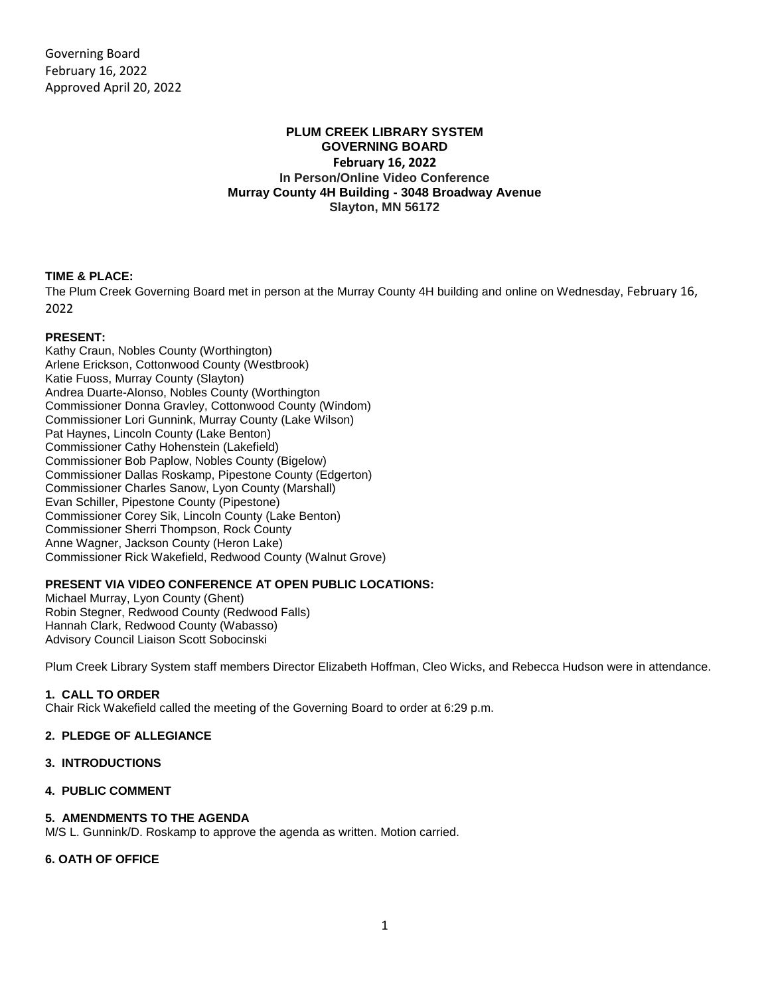## **PLUM CREEK LIBRARY SYSTEM GOVERNING BOARD February 16, 2022 In Person/Online Video Conference Murray County 4H Building - 3048 Broadway Avenue Slayton, MN 56172**

# **TIME & PLACE:**

The Plum Creek Governing Board met in person at the Murray County 4H building and online on Wednesday, February 16, 2022

## **PRESENT:**

Kathy Craun, Nobles County (Worthington) Arlene Erickson, Cottonwood County (Westbrook) Katie Fuoss, Murray County (Slayton) Andrea Duarte-Alonso, Nobles County (Worthington Commissioner Donna Gravley, Cottonwood County (Windom) Commissioner Lori Gunnink, Murray County (Lake Wilson) Pat Haynes, Lincoln County (Lake Benton) Commissioner Cathy Hohenstein (Lakefield) Commissioner Bob Paplow, Nobles County (Bigelow) Commissioner Dallas Roskamp, Pipestone County (Edgerton) Commissioner Charles Sanow, Lyon County (Marshall) Evan Schiller, Pipestone County (Pipestone) Commissioner Corey Sik, Lincoln County (Lake Benton) Commissioner Sherri Thompson, Rock County Anne Wagner, Jackson County (Heron Lake) Commissioner Rick Wakefield, Redwood County (Walnut Grove)

# **PRESENT VIA VIDEO CONFERENCE AT OPEN PUBLIC LOCATIONS:**

Michael Murray, Lyon County (Ghent) Robin Stegner, Redwood County (Redwood Falls) Hannah Clark, Redwood County (Wabasso) Advisory Council Liaison Scott Sobocinski

Plum Creek Library System staff members Director Elizabeth Hoffman, Cleo Wicks, and Rebecca Hudson were in attendance.

## **1. CALL TO ORDER**

Chair Rick Wakefield called the meeting of the Governing Board to order at 6:29 p.m.

## **2. PLEDGE OF ALLEGIANCE**

#### **3. INTRODUCTIONS**

#### **4. PUBLIC COMMENT**

## **5. AMENDMENTS TO THE AGENDA**

M/S L. Gunnink/D. Roskamp to approve the agenda as written. Motion carried.

## **6. OATH OF OFFICE**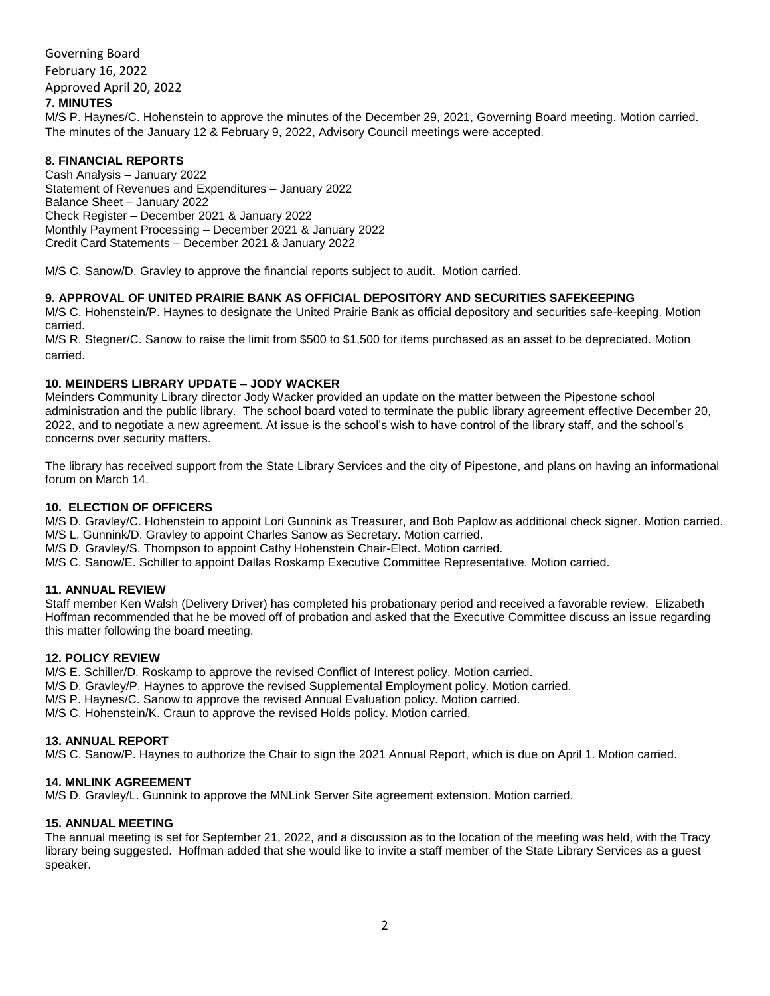Governing Board February 16, 2022 Approved April 20, 2022 **7. MINUTES**

M/S P. Haynes/C. Hohenstein to approve the minutes of the December 29, 2021, Governing Board meeting. Motion carried. The minutes of the January 12 & February 9, 2022, Advisory Council meetings were accepted.

## **8. FINANCIAL REPORTS**

Cash Analysis – January 2022 Statement of Revenues and Expenditures – January 2022 Balance Sheet – January 2022 Check Register – December 2021 & January 2022 Monthly Payment Processing – December 2021 & January 2022 Credit Card Statements – December 2021 & January 2022

M/S C. Sanow/D. Gravley to approve the financial reports subject to audit. Motion carried.

## **9. APPROVAL OF UNITED PRAIRIE BANK AS OFFICIAL DEPOSITORY AND SECURITIES SAFEKEEPING**

M/S C. Hohenstein/P. Haynes to designate the United Prairie Bank as official depository and securities safe-keeping. Motion carried.

M/S R. Stegner/C. Sanow to raise the limit from \$500 to \$1,500 for items purchased as an asset to be depreciated. Motion carried.

## **10. MEINDERS LIBRARY UPDATE – JODY WACKER**

Meinders Community Library director Jody Wacker provided an update on the matter between the Pipestone school administration and the public library. The school board voted to terminate the public library agreement effective December 20, 2022, and to negotiate a new agreement. At issue is the school's wish to have control of the library staff, and the school's concerns over security matters.

The library has received support from the State Library Services and the city of Pipestone, and plans on having an informational forum on March 14.

## **10. ELECTION OF OFFICERS**

M/S D. Gravley/C. Hohenstein to appoint Lori Gunnink as Treasurer, and Bob Paplow as additional check signer. Motion carried. M/S L. Gunnink/D. Gravley to appoint Charles Sanow as Secretary. Motion carried.

M/S D. Gravley/S. Thompson to appoint Cathy Hohenstein Chair-Elect. Motion carried.

M/S C. Sanow/E. Schiller to appoint Dallas Roskamp Executive Committee Representative. Motion carried.

## **11. ANNUAL REVIEW**

Staff member Ken Walsh (Delivery Driver) has completed his probationary period and received a favorable review. Elizabeth Hoffman recommended that he be moved off of probation and asked that the Executive Committee discuss an issue regarding this matter following the board meeting.

#### **12. POLICY REVIEW**

M/S E. Schiller/D. Roskamp to approve the revised Conflict of Interest policy. Motion carried.

- M/S D. Gravley/P. Haynes to approve the revised Supplemental Employment policy. Motion carried.
- M/S P. Haynes/C. Sanow to approve the revised Annual Evaluation policy. Motion carried.

M/S C. Hohenstein/K. Craun to approve the revised Holds policy. Motion carried.

#### **13. ANNUAL REPORT**

M/S C. Sanow/P. Haynes to authorize the Chair to sign the 2021 Annual Report, which is due on April 1. Motion carried.

#### **14. MNLINK AGREEMENT**

M/S D. Gravley/L. Gunnink to approve the MNLink Server Site agreement extension. Motion carried.

#### **15. ANNUAL MEETING**

The annual meeting is set for September 21, 2022, and a discussion as to the location of the meeting was held, with the Tracy library being suggested. Hoffman added that she would like to invite a staff member of the State Library Services as a guest speaker.